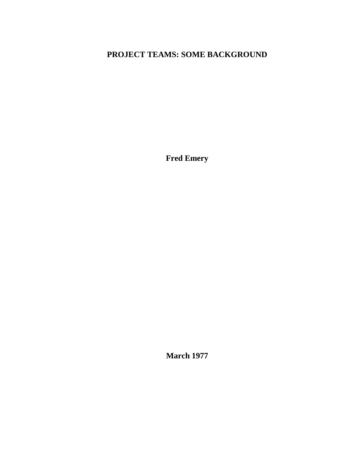# **PROJECT TEAMS: SOME BACKGROUND**

**Fred Emery**

**March 1977**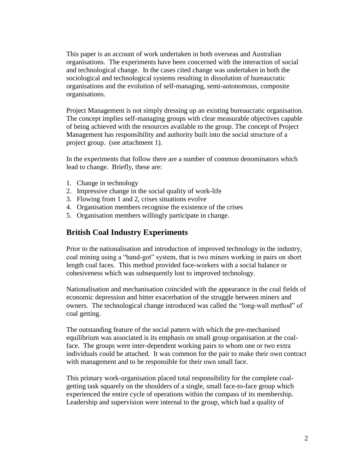This paper is an account of work undertaken in both overseas and Australian organisations. The experiments have been concerned with the interaction of social and technological change. In the cases cited change was undertaken in both the sociological and technological systems resulting in dissolution of bureaucratic organisations and the evolution of self-managing, semi-autonomous, composite organisations.

Project Management is not simply dressing up an existing bureaucratic organisation. The concept implies self-managing groups with clear measurable objectives capable of being achieved with the resources available to the group. The concept of Project Management has responsibility and authority built into the social structure of a project group. (see attachment 1).

In the experiments that follow there are a number of common denominators which lead to change. Briefly, these are:

- 1. Change in technology
- 2. Impressive change in the social quality of work-life
- 3. Flowing from 1 and 2, crises situations evolve
- 4. Organisation members recognise the existence of the crises
- 5. Organisation members willingly participate in change.

# **British Coal Industry Experiments**

Prior to the nationalisation and introduction of improved technology in the industry, coal mining using a "hand-got" system, that is two miners working in pairs on short length coal faces. This method provided face-workers with a social balance or cohesiveness which was subsequently lost to improved technology.

Nationalisation and mechanisation coincided with the appearance in the coal fields of economic depression and bitter exacerbation of the struggle between miners and owners. The technological change introduced was called the "long-wall method" of coal getting.

The outstanding feature of the social pattern with which the pre-mechanised equilibrium was associated is its emphasis on small group organisation at the coalface. The groups were inter-dependent working pairs to whom one or two extra individuals could be attached. It was common for the pair to make their own contract with management and to be responsible for their own small face.

This primary work-organisation placed total responsibility for the complete coalgetting task squarely on the shoulders of a single, small face-to-face group which experienced the entire cycle of operations within the compass of its membership. Leadership and supervision were internal to the group, which had a quality of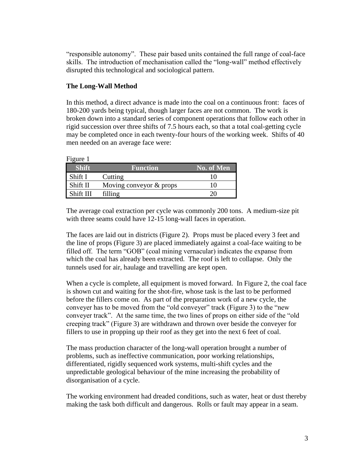"responsible autonomy". These pair based units contained the full range of coal-face skills. The introduction of mechanisation called the "long-wall" method effectively disrupted this technological and sociological pattern.

## **The Long-Wall Method**

In this method, a direct advance is made into the coal on a continuous front: faces of 180-200 yards being typical, though larger faces are not common. The work is broken down into a standard series of component operations that follow each other in rigid succession over three shifts of 7.5 hours each, so that a total coal-getting cycle may be completed once in each twenty-four hours of the working week. Shifts of 40 men needed on an average face were:

| Figure 1     |                           |            |
|--------------|---------------------------|------------|
| <b>Shift</b> | <b>Function</b>           | No. of Men |
| Shift I      | Cutting                   |            |
| Shift II     | Moving conveyor $&$ props |            |
| Shift III    | filling                   |            |

The average coal extraction per cycle was commonly 200 tons. A medium-size pit with three seams could have 12-15 long-wall faces in operation.

The faces are laid out in districts (Figure 2). Props must be placed every 3 feet and the line of props (Figure 3) are placed immediately against a coal-face waiting to be filled off. The term "GOB" (coal mining vernacular) indicates the expanse from which the coal has already been extracted. The roof is left to collapse. Only the tunnels used for air, haulage and travelling are kept open.

When a cycle is complete, all equipment is moved forward. In Figure 2, the coal face is shown cut and waiting for the shot-fire, whose task is the last to be performed before the fillers come on. As part of the preparation work of a new cycle, the conveyer has to be moved from the "old conveyer" track (Figure 3) to the "new conveyer track". At the same time, the two lines of props on either side of the "old creeping track" (Figure 3) are withdrawn and thrown over beside the conveyer for fillers to use in propping up their roof as they get into the next 6 feet of coal.

The mass production character of the long-wall operation brought a number of problems, such as ineffective communication, poor working relationships, differentiated, rigidly sequenced work systems, multi-shift cycles and the unpredictable geological behaviour of the mine increasing the probability of disorganisation of a cycle.

The working environment had dreaded conditions, such as water, heat or dust thereby making the task both difficult and dangerous. Rolls or fault may appear in a seam.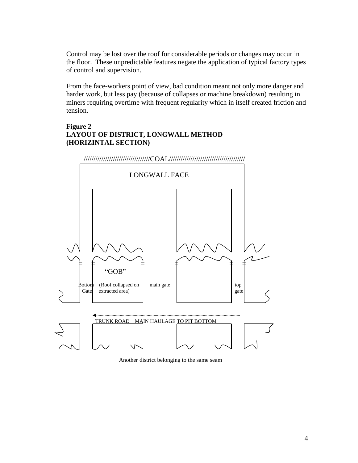Control may be lost over the roof for considerable periods or changes may occur in the floor. These unpredictable features negate the application of typical factory types of control and supervision.

From the face-workers point of view, bad condition meant not only more danger and harder work, but less pay (because of collapses or machine breakdown) resulting in miners requiring overtime with frequent regularity which in itself created friction and tension.

## **Figure 2 LAYOUT OF DISTRICT, LONGWALL METHOD (HORIZINTAL SECTION)**



Another district belonging to the same seam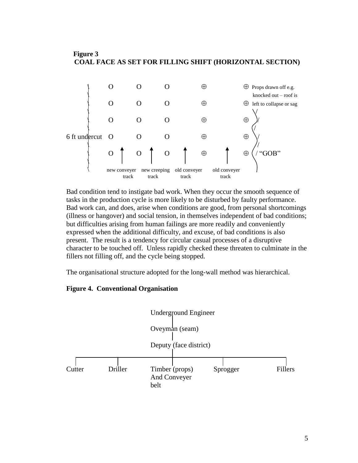### **Figure 3 COAL FACE AS SET FOR FILLING SHIFT (HORIZONTAL SECTION)**



Bad condition tend to instigate bad work. When they occur the smooth sequence of tasks in the production cycle is more likely to be disturbed by faulty performance. Bad work can, and does, arise when conditions are good, from personal shortcomings (illness or hangover) and social tension, in themselves independent of bad conditions; but difficulties arising from human failings are more readily and conveniently expressed when the additional difficulty, and excuse, of bad conditions is also present. The result is a tendency for circular casual processes of a disruptive character to be touched off. Unless rapidly checked these threaten to culminate in the fillers not filling off, and the cycle being stopped.

The organisational structure adopted for the long-wall method was hierarchical.

### **Figure 4. Conventional Organisation**

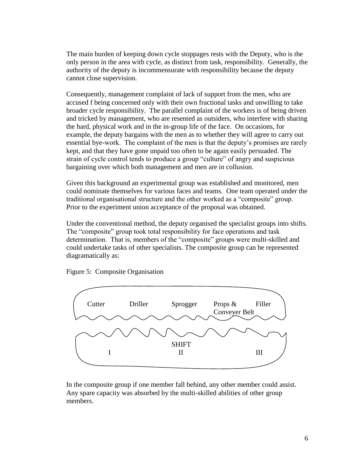The main burden of keeping down cycle stoppages rests with the Deputy, who is the only person in the area with cycle, as distinct from task, responsibility. Generally, the authority of the deputy is incommensurate with responsibility because the deputy cannot close supervision.

Consequently, management complaint of lack of support from the men, who are accused f being concerned only with their own fractional tasks and unwilling to take broader cycle responsibility. The parallel complaint of the workers is of being driven and tricked by management, who are resented as outsiders, who interfere with sharing the hard, physical work and in the in-group life of the face. On occasions, for example, the deputy bargains with the men as to whether they will agree to carry out essential bye-work. The complaint of the men is that the deputy's promises are rarely kept, and that they have gone unpaid too often to be again easily persuaded. The strain of cycle control tends to produce a group "culture" of angry and suspicious bargaining over which both management and men are in collusion.

Given this background an experimental group was established and monitored, men could nominate themselves for various faces and teams. One team operated under the traditional organisational structure and the other worked as a "composite" group. Prior to the experiment union acceptance of the proposal was obtained.

Under the conventional method, the deputy organised the specialist groups into shifts. The "composite" group took total responsibility for face operations and task determination. That is, members of the "composite" groups were multi-skilled and could undertake tasks of other specialists. The composite group can be represented diagramatically as:

Figure 5: Composite Organisation



In the composite group if one member fall behind, any other member could assist. Any spare capacity was absorbed by the multi-skilled abilities of other group members.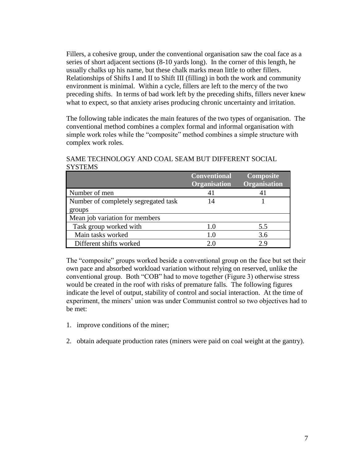Fillers, a cohesive group, under the conventional organisation saw the coal face as a series of short adjacent sections (8-10 yards long). In the corner of this length, he usually chalks up his name, but these chalk marks mean little to other fillers. Relationships of Shifts I and II to Shift III (filling) in both the work and community environment is minimal. Within a cycle, fillers are left to the mercy of the two preceding shifts. In terms of bad work left by the preceding shifts, fillers never knew what to expect, so that anxiety arises producing chronic uncertainty and irritation.

The following table indicates the main features of the two types of organisation. The conventional method combines a complex formal and informal organisation with simple work roles while the "composite" method combines a simple structure with complex work roles.

SAME TECHNOLOGY AND COAL SEAM BUT DIFFERENT SOCIAL **SYSTEMS** 

|                                      | <b>Conventional</b><br>Organisation | Composite<br>Organisation |
|--------------------------------------|-------------------------------------|---------------------------|
| Number of men                        | 41                                  |                           |
| Number of completely segregated task | 14                                  |                           |
| groups                               |                                     |                           |
| Mean job variation for members       |                                     |                           |
| Task group worked with               | 1.0                                 | 5.5                       |
| Main tasks worked                    | 1.0                                 | 3.6                       |
| Different shifts worked              |                                     | 2 Q                       |

The "composite" groups worked beside a conventional group on the face but set their own pace and absorbed workload variation without relying on reserved, unlike the conventional group. Both "COB" had to move together (Figure 3) otherwise stress would be created in the roof with risks of premature falls. The following figures indicate the level of output, stability of control and social interaction. At the time of experiment, the miners' union was under Communist control so two objectives had to be met:

- 1. improve conditions of the miner;
- 2. obtain adequate production rates (miners were paid on coal weight at the gantry).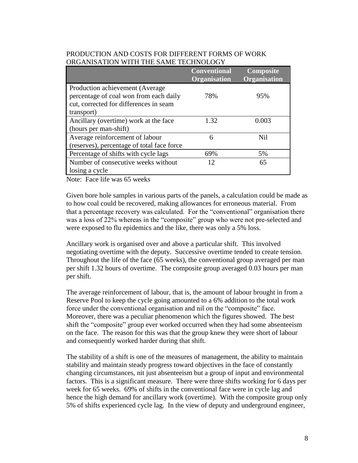| VINUANIDATIVIN<br>WITH THE SAME TECHNOLOGI                                                                                         |                                            |                                  |  |  |
|------------------------------------------------------------------------------------------------------------------------------------|--------------------------------------------|----------------------------------|--|--|
|                                                                                                                                    | <b>Conventional</b><br><b>Organisation</b> | <b>Composite</b><br>Organisation |  |  |
| Production achievement (Average)<br>percentage of coal won from each daily<br>cut, corrected for differences in seam<br>transport) | 78%                                        | 95%                              |  |  |
| Ancillary (overtime) work at the face<br>(hours per man-shift)                                                                     | 1.32                                       | 0.003                            |  |  |
| Average reinforcement of labour<br>(reserves), percentage of total face force                                                      | 6                                          | Nil                              |  |  |
| Percentage of shifts with cycle lags                                                                                               | 69%                                        | 5%                               |  |  |
| Number of consecutive weeks without<br>losing a cycle                                                                              | 12                                         | 65                               |  |  |

### PRODUCTION AND COSTS FOR DIFFERENT FORMS OF WORK ORGANIS ATION WITH THE SAME TECHNOLOGY

Note: Face life was 65 weeks

Given bore hole samples in various parts of the panels, a calculation could be made as to how coal could be recovered, making allowances for erroneous material. From that a percentage recovery was calculated. For the "conventional" organisation there was a loss of 22% whereas in the "composite" group who were not pre-selected and were exposed to flu epidemics and the like, there was only a 5% loss.

Ancillary work is organised over and above a particular shift. This involved negotiating overtime with the deputy. Successive overtime tended to create tension. Throughout the life of the face (65 weeks), the conventional group averaged per man per shift 1.32 hours of overtime. The composite group averaged 0.03 hours per man per shift.

The average reinforcement of labour, that is, the amount of labour brought in from a Reserve Pool to keep the cycle going amounted to a 6% addition to the total work force under the conventional organisation and nil on the "composite" face. Moreover, there was a peculiar phenomenon which the figures showed. The best shift the "composite" group ever worked occurred when they had some absenteeism on the face. The reason for this was that the group knew they were short of labour and consequently worked harder during that shift.

The stability of a shift is one of the measures of management, the ability to maintain stability and maintain steady progress toward objectives in the face of constantly changing circumstances, nit just absenteeism but a group of input and environmental factors. This is a significant measure. There were three shifts working for 6 days per week for 65 weeks. 69% of shifts in the conventional face were in cycle lag and hence the high demand for ancillary work (overtime). With the composite group only 5% of shifts experienced cycle lag. In the view of deputy and underground engineer,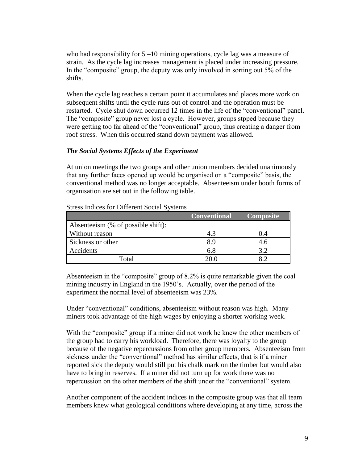who had responsibility for  $5 - 10$  mining operations, cycle lag was a measure of strain. As the cycle lag increases management is placed under increasing pressure. In the "composite" group, the deputy was only involved in sorting out 5% of the shifts.

When the cycle lag reaches a certain point it accumulates and places more work on subsequent shifts until the cycle runs out of control and the operation must be restarted. Cycle shut down occurred 12 times in the life of the "conventional" panel. The "composite" group never lost a cycle. However, groups stpped because they were getting too far ahead of the "conventional" group, thus creating a danger from roof stress. When this occurred stand down payment was allowed.

## *The Social Systems Effects of the Experiment*

At union meetings the two groups and other union members decided unanimously that any further faces opened up would be organised on a "composite" basis, the conventional method was no longer acceptable. Absenteeism under booth forms of organisation are set out in the following table.

|                                    | <b>Conventional</b> | <b>Composite</b> |
|------------------------------------|---------------------|------------------|
| Absenteeism (% of possible shift): |                     |                  |
| Without reason                     | 4.3                 | 1.4              |
| Sickness or other                  | 8.9                 | 4.6              |
| Accidents                          | 6.8                 | 3.2              |
| Total                              |                     |                  |

Stress Indices for Different Social Systems

Absenteeism in the "composite" group of 8.2% is quite remarkable given the coal mining industry in England in the 1950's. Actually, over the period of the experiment the normal level of absenteeism was 23%.

Under "conventional" conditions, absenteeism without reason was high. Many miners took advantage of the high wages by enjoying a shorter working week.

With the "composite" group if a miner did not work he knew the other members of the group had to carry his workload. Therefore, there was loyalty to the group because of the negative repercussions from other group members. Absenteeism from sickness under the "conventional" method has similar effects, that is if a miner reported sick the deputy would still put his chalk mark on the timber but would also have to bring in reserves. If a miner did not turn up for work there was no repercussion on the other members of the shift under the "conventional" system.

Another component of the accident indices in the composite group was that all team members knew what geological conditions where developing at any time, across the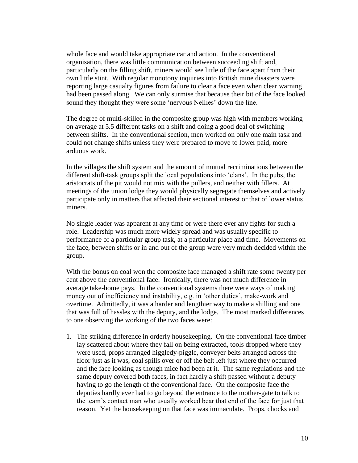whole face and would take appropriate car and action. In the conventional organisation, there was little communication between succeeding shift and, particularly on the filling shift, miners would see little of the face apart from their own little stint. With regular monotony inquiries into British mine disasters were reporting large casualty figures from failure to clear a face even when clear warning had been passed along. We can only surmise that because their bit of the face looked sound they thought they were some 'nervous Nellies' down the line.

The degree of multi-skilled in the composite group was high with members working on average at 5.5 different tasks on a shift and doing a good deal of switching between shifts. In the conventional section, men worked on only one main task and could not change shifts unless they were prepared to move to lower paid, more arduous work.

In the villages the shift system and the amount of mutual recriminations between the different shift-task groups split the local populations into 'clans'. In the pubs, the aristocrats of the pit would not mix with the pullers, and neither with fillers. At meetings of the union lodge they would physically segregate themselves and actively participate only in matters that affected their sectional interest or that of lower status miners.

No single leader was apparent at any time or were there ever any fights for such a role. Leadership was much more widely spread and was usually specific to performance of a particular group task, at a particular place and time. Movements on the face, between shifts or in and out of the group were very much decided within the group.

With the bonus on coal won the composite face managed a shift rate some twenty per cent above the conventional face. Ironically, there was not much difference in average take-home pays. In the conventional systems there were ways of making money out of inefficiency and instability, e.g. in 'other duties', make-work and overtime. Admittedly, it was a harder and lengthier way to make a shilling and one that was full of hassles with the deputy, and the lodge. The most marked differences to one observing the working of the two faces were:

1. The striking difference in orderly housekeeping. On the conventional face timber lay scattered about where they fall on being extracted, tools dropped where they were used, props arranged higgledy-piggle, conveyer belts arranged across the floor just as it was, coal spills over or off the belt left just where they occurred and the face looking as though mice had been at it. The same regulations and the same deputy covered both faces, in fact hardly a shift passed without a deputy having to go the length of the conventional face. On the composite face the deputies hardly ever had to go beyond the entrance to the mother-gate to talk to the team's contact man who usually worked bear that end of the face for just that reason. Yet the housekeeping on that face was immaculate. Props, chocks and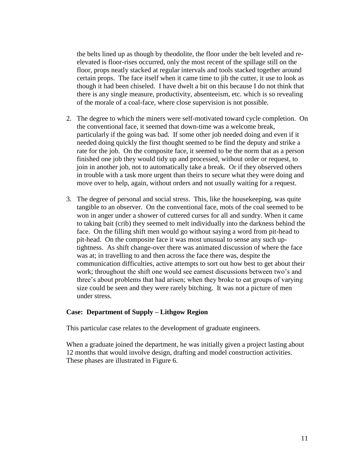the belts lined up as though by theodolite, the floor under the belt leveled and reelevated is floor-rises occurred, only the most recent of the spillage still on the floor, props neatly stacked at regular intervals and tools stacked together around certain props. The face itself when it came time to jib the cutter, it use to look as though it had been chiseled. I have dwelt a bit on this because I do not think that there is any single measure, productivity, absenteeism, etc. which is so revealing of the morale of a coal-face, where close supervision is not possible.

- 2. The degree to which the miners were self-motivated toward cycle completion. On the conventional face, it seemed that down-time was a welcome break, particularly if the going was bad. If some other job needed doing and even if it needed doing quickly the first thought seemed to be find the deputy and strike a rate for the job. On the composite face, it seemed to be the norm that as a person finished one job they would tidy up and processed, without order or request, to join in another job, not to automatically take a break. Or if they observed others in trouble with a task more urgent than theirs to secure what they were doing and move over to help, again, without orders and not usually waiting for a request.
- 3. The degree of personal and social stress. This, like the housekeeping, was quite tangible to an observer. On the conventional face, mots of the coal seemed to be won in anger under a shower of cuttered curses for all and sundry. When it came to taking bait (crib) they seemed to melt individually into the darkness behind the face. On the filling shift men would go without saying a word from pit-head to pit-head. On the composite face it was most unusual to sense any such uptightness. As shift change-over there was animated discussion of where the face was at; in travelling to and then across the face there was, despite the communication difficulties, active attempts to sort out how best to get about their work; throughout the shift one would see earnest discussions between two's and three's about problems that had arisen; when they broke to eat groups of varying size could be seen and they were rarely bitching. It was not a picture of men under stress.

#### **Case: Department of Supply – Lithgow Region**

This particular case relates to the development of graduate engineers.

When a graduate joined the department, he was initially given a project lasting about 12 months that would involve design, drafting and model construction activities. These phases are illustrated in Figure 6.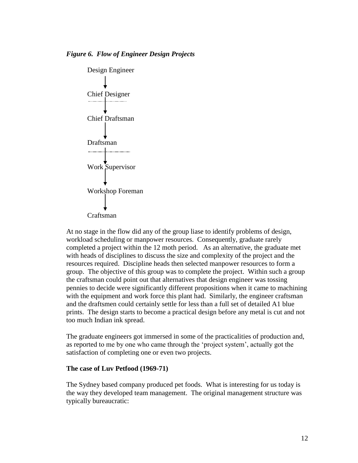

At no stage in the flow did any of the group liase to identify problems of design, workload scheduling or manpower resources. Consequently, graduate rarely completed a project within the 12 moth period. As an alternative, the graduate met with heads of disciplines to discuss the size and complexity of the project and the resources required. Discipline heads then selected manpower resources to form a group. The objective of this group was to complete the project. Within such a group the craftsman could point out that alternatives that design engineer was tossing pennies to decide were significantly different propositions when it came to machining with the equipment and work force this plant had. Similarly, the engineer craftsman and the draftsmen could certainly settle for less than a full set of detailed A1 blue prints. The design starts to become a practical design before any metal is cut and not too much Indian ink spread.

The graduate engineers got immersed in some of the practicalities of production and, as reported to me by one who came through the 'project system', actually got the satisfaction of completing one or even two projects.

#### **The case of Luv Petfood (1969-71)**

The Sydney based company produced pet foods. What is interesting for us today is the way they developed team management. The original management structure was typically bureaucratic: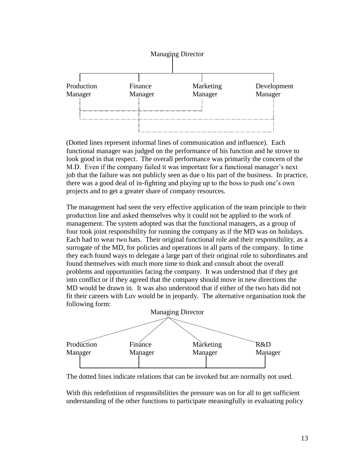

(Dotted lines represent informal lines of communication and influence). Each functional manager was judged on the performance of his function and he strove to look good in that respect. The overall performance was primarily the concern of the M.D. Even if the company failed it was important for a functional manager's next job that the failure was not publicly seen as due o his part of the business. In practice, there was a good deal of in-fighting and playing up to the boss to push one's own projects and to get a greater share of company resources.

The management had seen the very effective application of the team principle to their production line and asked themselves why it could not be applied to the work of management. The system adopted was that the functional managers, as a group of four took joint responsibility for running the company as if the MD was on holidays. Each had to wear two hats. Their original functional role and their responsibility, as a surrogate of the MD, for policies and operations in all parts of the company. In time they each found ways to delegate a large part of their original role to subordinates and found themselves with much more time to think and consult about the overall problems and opportunities facing the company. It was understood that if they got into conflict or if they agreed that the company should move in new directions the MD would be drawn in. It was also understood that if either of the two hats did not fit their careers with Luv would be in jeopardy. The alternative organisation took the following form:



The dotted lines indicate relations that can be invoked but are normally not used.

With this redefinition of responsibilities the pressure was on for all to get sufficient understanding of the other functions to participate meaningfully in evaluating policy